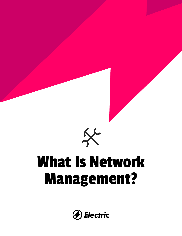

# What Is Network Management?

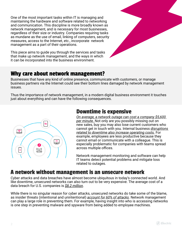One of the most important tasks within IT is managing and maintaining the hardware and software related to networking and communication. This discipline is more broadly known as network management, and is necessary for most businesses, regardless of their size or industry. Companies requiring tasks as mundane as the use of email, linking of computers, security measures, access to the Internet, etc., incorporate network management as a part of their operations.

This piece aims to guide you through the services and tasks that make up network management, and the ways in which it can be incorporated into the business environment.

#### Why care about network management?

Businesses that have any kind of online presence, communicate with customers, or manage business partners via the Internet could see their bottom lines damaged by network management issues.

Thus the importance of network management, in a modern digital business environment it touches just about everything and can have the following consequences.



#### Downtime is expensive

*On average, a network outage can cost a company \$5,600 per minute.* Not only are you possibly missing out on new sales, buy you may also lose current customers who cannot get in touch with you. Internal business *disruptions related to downtime also increase operating costs.* For example, employees are less productive because they cannot email or communicate with a colleague. This is especially problematic for companies with teams spread across multiple offices.

Network management monitoring and software can help IT teams detect potential problems and mitigate loss related to outages.

# A network without management is an unsecure network

Cyber attacks and data breaches have almost become ubiquitous in today's connected world. And like downtime, unsecured networks can also turn out to be very expensive. The average cost of a data breach for U.S. companies is *\$8.2 million*.

While there is no singular reason for cyber attacks, unsecured networks do take some of the blame, as insider threats (intentional and unintentional) *account for 60% of attacks*. Network management can play a large role in preventing them. For example, having insight into who is accessing networks is one step in preventing malware and spyware from being added to employee machines.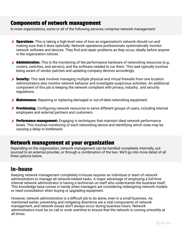#### Components of network management

In most organizations, some or all of the following services comprise network management:

- $\rightarrow$  Operations: This is taking a high-level view of how an organization's network should run and making sure that it does optimally. Network operations professionals systematically monitor network software and devices. They find and repair problems as they occur, ideally before anyone in the organization notices.
- $\rightarrow$  **Administration:** This is the monitoring of the performance hardware of networking resources (e.g., routers, switches, and servers), and the software needed to run them. This task typically involves being aware of vendor patches and updating company devices accordingly.
- $\rightarrow$  Security: This task involves managing multiple physical and virtual firewalls from one location. Administrators also monitor network behavior and investigate suspicious activities. An additional component of this job is keeping the network compliant with privacy, industry, and security regulations.
- $\neq$  Maintenance: Repairing or replacing damaged or out-of-date networking equipment.
- **Provisioning:** Configuring network resources to serve different groups of users, including internal employees and external partners and customers.
- $\neq$  Performance management: Engaging in techniques that maintain ideal network performance levels. This involves monitoring of each networking device and identifying which ones may be causing a delay or bottleneck.

#### Network management at your organization

Depending on the organization, network management can be handled completely internally, outsourced to an external provider, or through a combination of the two. We'll go into more detail of all three options below.

#### In-house

Keeping network management completely in-house requires an individual or team of network administrators to manage all network-related tasks. A major advantage of employing a full-time internal network administrator is having a technician on staff who understands the business itself. This knowledge base comes in handy when managers are considering redesigning network models or need consultation when buying or upgrading equipment.

However, network administration is a difficult job to do alone, even in a small business. As mentioned earlier, preventing and mitigating downtime are a vital components of network management, and network issues don't always occur during business hours. Network administrators must be on call or work overtime to ensure that the network is running smoothly at all times.